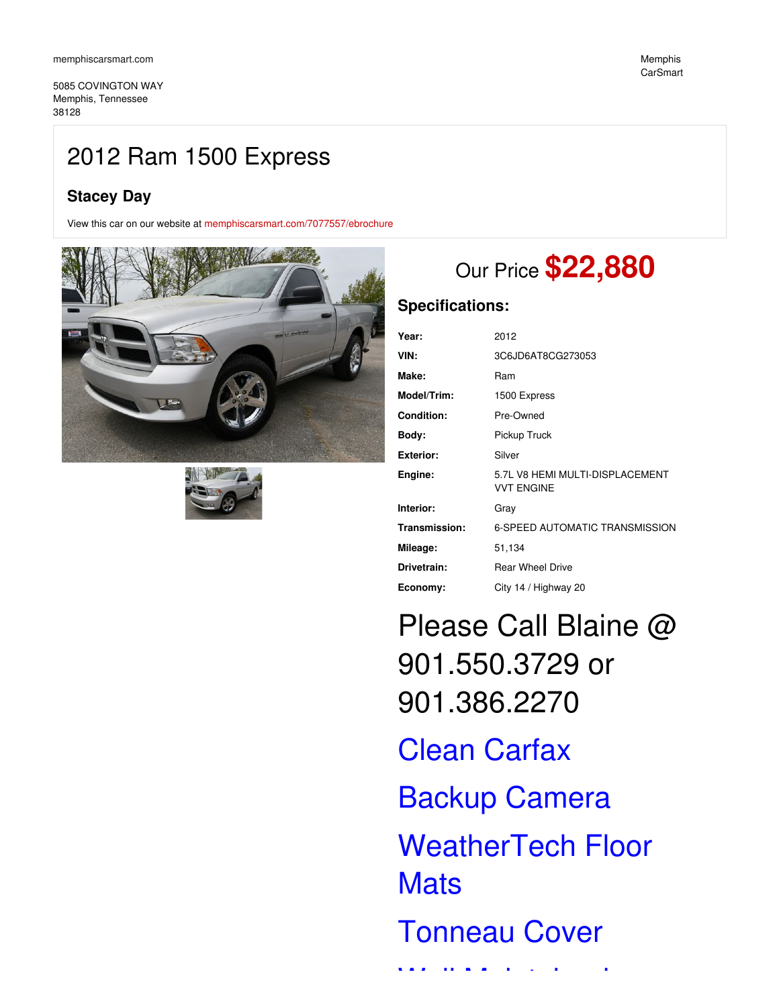5085 COVINGTON WAY Memphis, Tennessee 38128

## 2012 Ram 1500 Express

## **Stacey Day**

View this car on our website at [memphiscarsmart.com/7077557/ebrochure](https://memphiscarsmart.com/vehicle/7077557/2012-ram-1500-express-memphis-tennessee-38128/7077557/ebrochure)





# Our Price **\$22,880**

## **Specifications:**

| Year:             | 2012                                                 |
|-------------------|------------------------------------------------------|
| VIN:              | 3C6JD6AT8CG273053                                    |
| Make:             | Ram                                                  |
| Model/Trim:       | 1500 Express                                         |
| <b>Condition:</b> | Pre-Owned                                            |
| Body:             | Pickup Truck                                         |
| <b>Exterior:</b>  | Silver                                               |
| Engine:           | 5.7L V8 HEMI MULTI-DISPLACEMENT<br><b>VVT ENGINE</b> |
| Interior:         | Gray                                                 |
| Transmission:     | <b>6-SPEED AUTOMATIC TRANSMISSION</b>                |
| Mileage:          | 51,134                                               |
| Drivetrain:       | <b>Rear Wheel Drive</b>                              |
| Economy:          | City 14 / Highway 20                                 |

Please Call Blaine @ 901.550.3729 or 901.386.2270

Clean Carfax Backup Camera WeatherTech Floor **Mats** Tonneau Cover

Well Maintained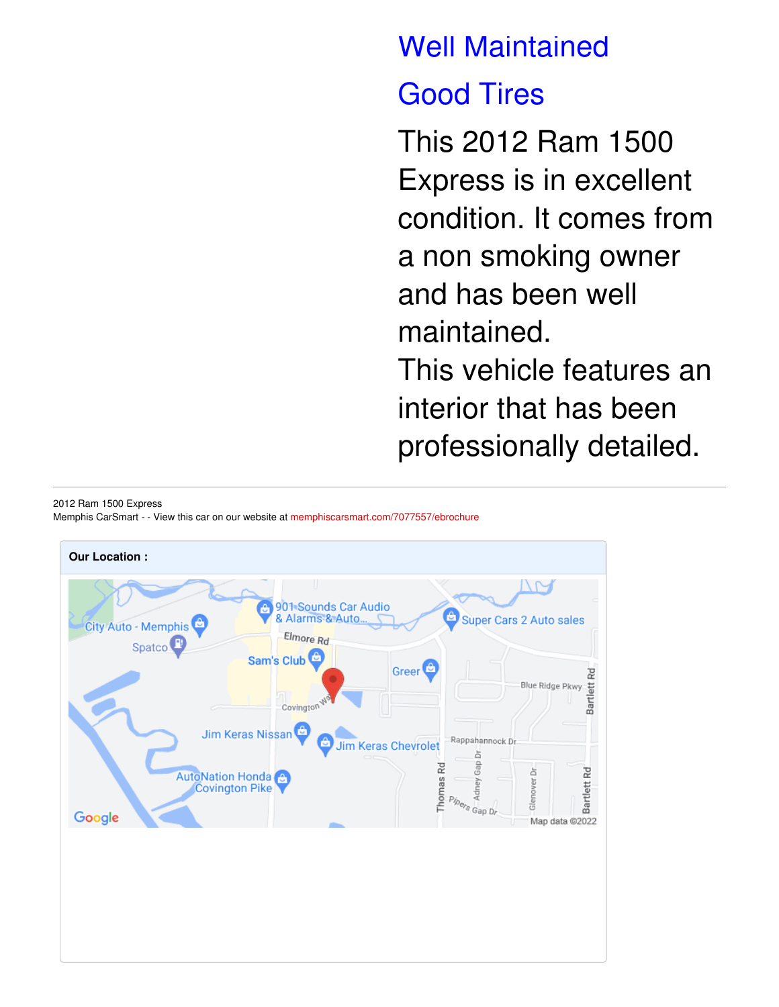# Well Maintained

# Good Tires

This 2012 Ram 1500 Express is in excellent condition. It comes from a non smoking owner and has been well maintained. This vehicle features an interior that has been professionally detailed.

2012 Ram 1500 Express

Memphis CarSmart - - View this car on our website at [memphiscarsmart.com/7077557/ebrochure](https://memphiscarsmart.com/vehicle/7077557/2012-ram-1500-express-memphis-tennessee-38128/7077557/ebrochure)

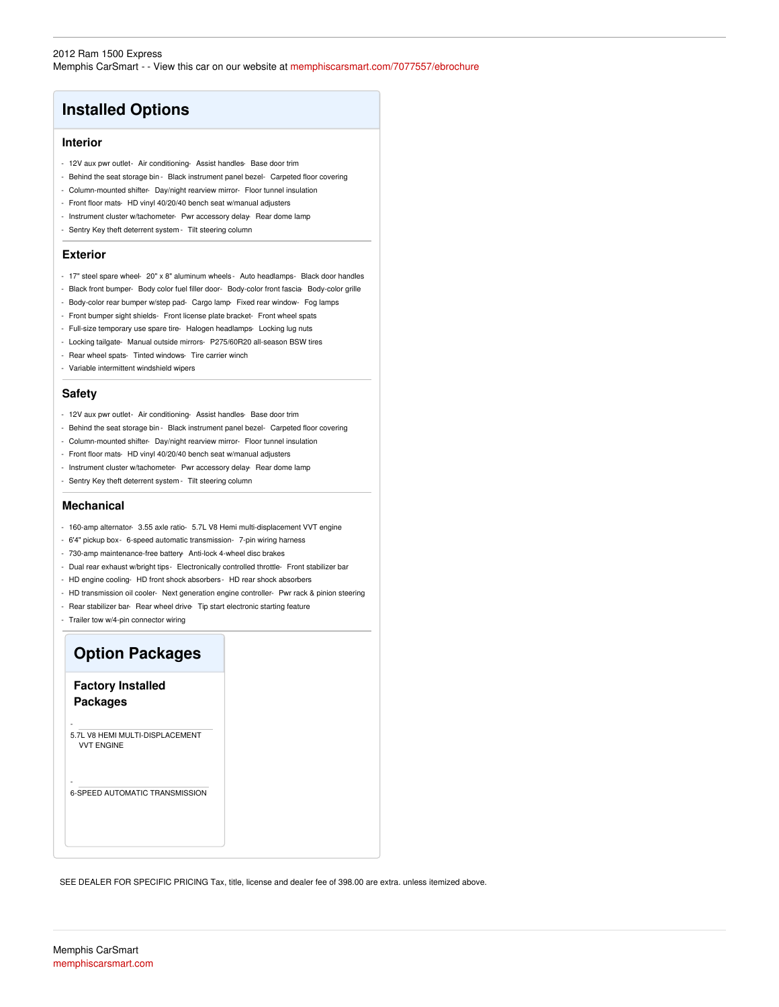## **Installed Options**

#### **Interior**

- 12V aux pwr outlet- Air conditioning- Assist handles- Base door trim
- Behind the seat storage bin Black instrument panel bezel- Carpeted floor covering
- Column-mounted shifter- Day/night rearview mirror- Floor tunnel insulation
- Front floor mats- HD vinyl 40/20/40 bench seat w/manual adjusters
- Instrument cluster w/tachometer- Pwr accessory delay- Rear dome lamp
- Sentry Key theft deterrent system Tilt steering column

### **Exterior**

- 17" steel spare wheel- 20" x 8" aluminum wheels Auto headlamps- Black door handles
- Black front bumper- Body color fuel filler door- Body-color front fascia- Body-color grille
- Body-color rear bumper w/step pad- Cargo lamp- Fixed rear window- Fog lamps
- Front bumper sight shields- Front license plate bracket- Front wheel spats
- Full-size temporary use spare tire- Halogen headlamps- Locking lug nuts
- Locking tailgate- Manual outside mirrors- P275/60R20 all-season BSW tires
- Rear wheel spats- Tinted windows- Tire carrier winch
- Variable intermittent windshield wipers

### **Safety**

- 12V aux pwr outlet- Air conditioning- Assist handles- Base door trim
- Behind the seat storage bin Black instrument panel bezel- Carpeted floor covering
- Column-mounted shifter- Day/night rearview mirror- Floor tunnel insulation
- Front floor mats- HD vinyl 40/20/40 bench seat w/manual adjusters
- Instrument cluster w/tachometer- Pwr accessory delay- Rear dome lamp
- Sentry Key theft deterrent system Tilt steering column

### **Mechanical**

- 160-amp alternator- 3.55 axle ratio- 5.7L V8 Hemi multi-displacement VVT engine
- 6'4" pickup box- 6-speed automatic transmission- 7-pin wiring harness
- 730-amp maintenance-free battery- Anti-lock 4-wheel disc brakes
- Dual rear exhaust w/bright tips- Electronically controlled throttle- Front stabilizer bar
- HD engine cooling- HD front shock absorbers- HD rear shock absorbers
- HD transmission oil cooler- Next generation engine controller- Pwr rack & pinion steering
- Rear stabilizer bar- Rear wheel drive- Tip start electronic starting feature
- Trailer tow w/4-pin connector wiring

## **Option Packages**

**Factory Installed Packages**

-

-

5.7L V8 HEMI MULTI-DISPLACEMENT VVT ENGINE

6-SPEED AUTOMATIC TRANSMISSION

SEE DEALER FOR SPECIFIC PRICING Tax, title, license and dealer fee of 398.00 are extra. unless itemized above.